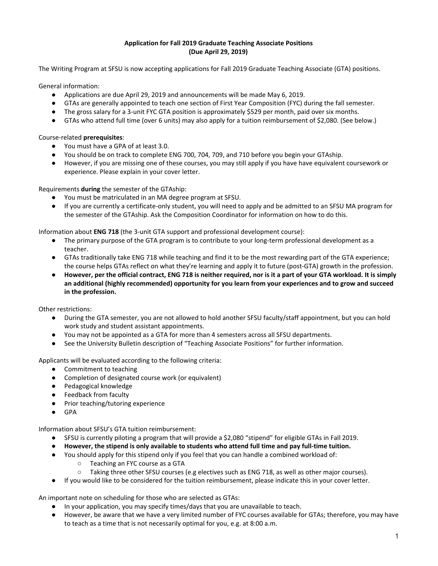## **Application for Fall 2019 Graduate Teaching Associate Positions (Due April 29, 2019)**

The Writing Program at SFSU is now accepting applications for Fall 2019 Graduate Teaching Associate (GTA) positions.

General information:

- Applications are due April 29, 2019 and announcements will be made May 6, 2019.
- GTAs are generally appointed to teach one section of First Year Composition (FYC) during the fall semester.
- The gross salary for a 3-unit FYC GTA position is approximately \$529 per month, paid over six months.
- GTAs who attend full time (over 6 units) may also apply for a tuition reimbursement of \$2,080. (See below.)

Course-related **prerequisites**:

- You must have a GPA of at least 3.0.
- You should be on track to complete ENG 700, 704, 709, and 710 before you begin your GTAship.
- However, if you are missing one of these courses, you may still apply if you have have equivalent coursework or experience. Please explain in your cover letter.

Requirements **during** the semester of the GTAship:

- You must be matriculated in an MA degree program at SFSU.
- If you are currently a certificate-only student, you will need to apply and be admitted to an SFSU MA program for the semester of the GTAship. Ask the Composition Coordinator for information on how to do this.

Information about **ENG 718** (the 3-unit GTA support and professional development course):

- The primary purpose of the GTA program is to contribute to your long-term professional development as a teacher.
- GTAs traditionally take ENG 718 while teaching and find it to be the most rewarding part of the GTA experience; the course helps GTAs reflect on what they're learning and apply it to future (post-GTA) growth in the profession.
- However, per the official contract, ENG 718 is neither required, nor is it a part of your GTA workload. It is simply **an additional (highly recommended) opportunity for you learn from your experiences and to grow and succeed in the profession.**

Other restrictions:

- During the GTA semester, you are not allowed to hold another SFSU faculty/staff appointment, but you can hold work study and student assistant appointments.
- You may not be appointed as a GTA for more than 4 semesters across all SFSU departments.
- See the University Bulletin description of "Teaching Associate Positions" for further information.

Applicants will be evaluated according to the following criteria:

- Commitment to teaching
- Completion of designated course work (or equivalent)
- Pedagogical knowledge
- Feedback from faculty
- Prior teaching/tutoring experience
- GPA

Information about SFSU's GTA tuition reimbursement:

- SFSU is currently piloting a program that will provide a \$2,080 "stipend" for eligible GTAs in Fall 2019.
- **● However, the stipend is only available to students who attend full time and pay full-time tuition.**
- You should apply for this stipend only if you feel that you can handle a combined workload of:
	- Teaching an FYC course as a GTA
	- Taking three other SFSU courses (e.g electives such as ENG 718, as well as other major courses).
- If you would like to be considered for the tuition reimbursement, please indicate this in your cover letter.

An important note on scheduling for those who are selected as GTAs:

- In your application, you may specify times/days that you are unavailable to teach.
- However, be aware that we have a very limited number of FYC courses available for GTAs; therefore, you may have to teach as a time that is not necessarily optimal for you, e.g. at 8:00 a.m.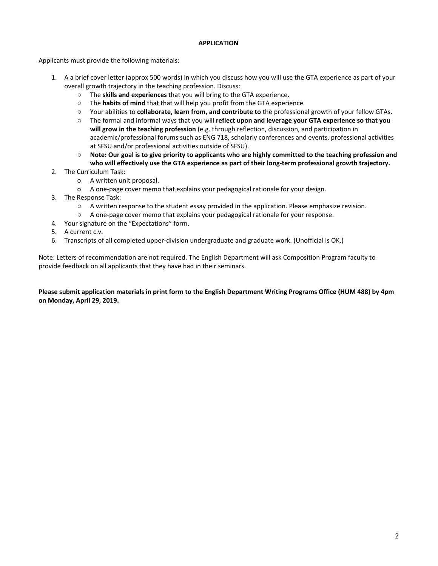# **APPLICATION**

Applicants must provide the following materials:

- 1. A a brief cover letter (approx 500 words) in which you discuss how you will use the GTA experience as part of your overall growth trajectory in the teaching profession. Discuss:
	- The **skills and experiences** that you will bring to the GTA experience.
	- The **habits of mind** that that will help you profit from the GTA experience.
	- Your abilities to **collaborate, learn from, and contribute to** the professional growth of your fellow GTAs.
	- The formal and informal ways that you will **reflect upon and leverage your GTA experience so that you will grow in the teaching profession** (e.g. through reflection, discussion, and participation in academic/professional forums such as ENG 718, scholarly conferences and events, professional activities at SFSU and/or professional activities outside of SFSU).
	- $\circ$  Note: Our goal is to give priority to applicants who are highly committed to the teaching profession and **who will effectively use the GTA experience as part of their long-term professional growth trajectory.**
- 2. The Curriculum Task:
	- o A written unit proposal.
	- o A one-page cover memo that explains your pedagogical rationale for your design.
- 3. The Response Task:
	- A written response to the student essay provided in the application. Please emphasize revision.
	- A one-page cover memo that explains your pedagogical rationale for your response.
- 4. Your signature on the "Expectations" form.
- 5. A current c.v.
- 6. Transcripts of all completed upper-division undergraduate and graduate work. (Unofficial is OK.)

Note: Letters of recommendation are not required. The English Department will ask Composition Program faculty to provide feedback on all applicants that they have had in their seminars.

Please submit application materials in print form to the English Department Writing Programs Office (HUM 488) by 4pm **on Monday, April 29, 2019.**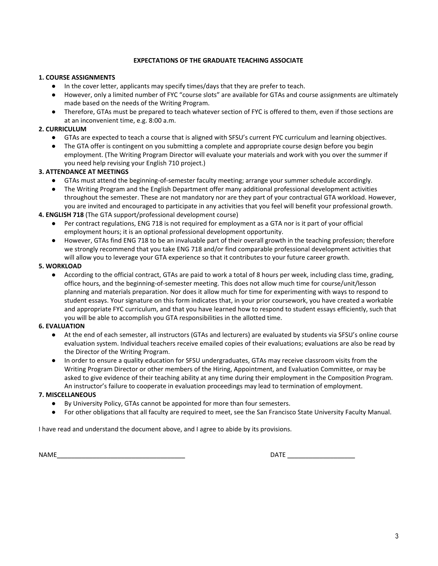## **EXPECTATIONS OF THE GRADUATE TEACHING ASSOCIATE**

# **1. COURSE ASSIGNMENTS**

- In the cover letter, applicants may specify times/days that they are prefer to teach.
- However, only a limited number of FYC "course slots" are available for GTAs and course assignments are ultimately made based on the needs of the Writing Program.
- Therefore, GTAs must be prepared to teach whatever section of FYC is offered to them, even if those sections are at an inconvenient time, e.g. 8:00 a.m.

# **2. CURRICULUM**

- GTAs are expected to teach a course that is aligned with SFSU's current FYC curriculum and learning objectives.
- The GTA offer is contingent on you submitting a complete and appropriate course design before you begin employment. (The Writing Program Director will evaluate your materials and work with you over the summer if you need help revising your English 710 project.)

# **3. ATTENDANCE AT MEETINGS**

- GTAs must attend the beginning-of-semester faculty meeting; arrange your summer schedule accordingly.
- The Writing Program and the English Department offer many additional professional development activities throughout the semester. These are not mandatory nor are they part of your contractual GTA workload. However, you are invited and encouraged to participate in any activities that you feel will benefit your professional growth.

# **4. ENGLISH 718** (The GTA support/professional development course)

- Per contract regulations, ENG 718 is not required for employment as a GTA nor is it part of your official employment hours; it is an optional professional development opportunity.
- However, GTAs find ENG 718 to be an invaluable part of their overall growth in the teaching profession; therefore we strongly recommend that you take ENG 718 and/or find comparable professional development activities that will allow you to leverage your GTA experience so that it contributes to your future career growth.

# **5. WORKLOAD**

According to the official contract, GTAs are paid to work a total of 8 hours per week, including class time, grading, office hours, and the beginning-of-semester meeting. This does not allow much time for course/unit/lesson planning and materials preparation. Nor does it allow much for time for experimenting with ways to respond to student essays. Your signature on this form indicates that, in your prior coursework, you have created a workable and appropriate FYC curriculum, and that you have learned how to respond to student essays efficiently, such that you will be able to accomplish you GTA responsibilities in the allotted time.

# **6. EVALUATION**

- At the end of each semester, all instructors (GTAs and lecturers) are evaluated by students via SFSU's online course evaluation system. Individual teachers receive emailed copies of their evaluations; evaluations are also be read by the Director of the Writing Program.
- In order to ensure a quality education for SFSU undergraduates, GTAs may receive classroom visits from the Writing Program Director or other members of the Hiring, Appointment, and Evaluation Committee, or may be asked to give evidence of their teaching ability at any time during their employment in the Composition Program. An instructor's failure to cooperate in evaluation proceedings may lead to termination of employment.

# **7. MISCELLANEOUS**

- By University Policy, GTAs cannot be appointed for more than four semesters.
- For other obligations that all faculty are required to meet, see the San Francisco State University Faculty Manual.

I have read and understand the document above, and I agree to abide by its provisions.

NAME\_\_\_\_\_\_\_\_\_\_\_\_\_\_\_\_\_\_\_\_\_\_\_\_\_\_\_\_\_\_\_\_\_\_\_\_ DATE \_\_\_\_\_\_\_\_\_\_\_\_\_\_\_\_\_\_\_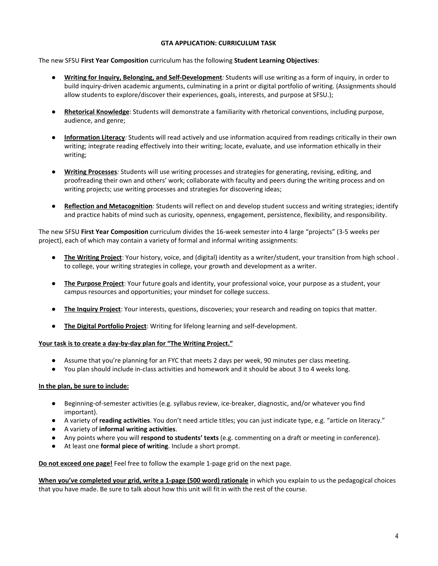## **GTA APPLICATION: CURRICULUM TASK**

The new SFSU **First Year Composition** curriculum has the following **Student Learning Objectives**:

- **Writing for Inquiry, Belonging, and Self-Development***:* Students will use writing as a form of inquiry, in order to build inquiry-driven academic arguments, culminating in a print or digital portfolio of writing. (Assignments should allow students to explore/discover their experiences, goals, interests, and purpose at SFSU.);
- **Rhetorical Knowledge**: Students will demonstrate a familiarity with rhetorical conventions, including purpose, audience, and genre;
- **Information Literacy***:* Students will read actively and use information acquired from readings critically in their own writing; integrate reading effectively into their writing; locate, evaluate, and use information ethically in their writing;
- **Writing Processes***:* Students will use writing processes and strategies for generating, revising, editing, and proofreading their own and others' work; collaborate with faculty and peers during the writing process and on writing projects; use writing processes and strategies for discovering ideas;
- **Reflection and Metacognition***:* Students will reflect on and develop student success and writing strategies; identify and practice habits of mind such as curiosity, openness, engagement, persistence, flexibility, and responsibility.

The new SFSU **First Year Composition** curriculum divides the 16-week semester into 4 large "projects" (3-5 weeks per project), each of which may contain a variety of formal and informal writing assignments:

- **The Writing Project**: Your history, voice, and (digital) identity as a writer/student, your transition from high school . to college, your writing strategies in college, your growth and development as a writer.
- **The Purpose Project**: Your future goals and identity, your professional voice, your purpose as a student, your campus resources and opportunities; your mindset for college success.
- **The Inquiry Project**: Your interests, questions, discoveries; your research and reading on topics that matter.
- **The Digital Portfolio Project**: Writing for lifelong learning and self-development.

## **Your task is to create a day-by-day plan for "The Writing Project."**

- Assume that you're planning for an FYC that meets 2 days per week, 90 minutes per class meeting.
- You plan should include in-class activities and homework and it should be about 3 to 4 weeks long.

## **In the plan, be sure to include:**

- Beginning-of-semester activities (e.g. syllabus review, ice-breaker, diagnostic, and/or whatever you find important).
- A variety of **reading activities**. You don't need article titles; you can just indicate type, e.g. "article on literacy."
- A variety of **informal writing activities**.
- Any points where you will **respond to students' texts** (e.g. commenting on a draft or meeting in conference).
- At least one **formal piece of writing**. Include a short prompt.

**Do not exceed one page!** Feel free to follow the example 1-page grid on the next page.

**When you've completed your grid, write a 1-page (500 word) rationale** in which you explain to us the pedagogical choices that you have made. Be sure to talk about how this unit will fit in with the rest of the course.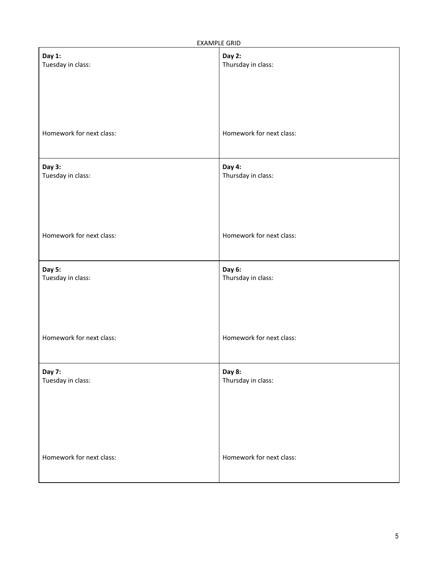EXAMPLE GRID

| _.                          |                              |
|-----------------------------|------------------------------|
| Day 1:<br>Tuesday in class: | Day 2:<br>Thursday in class: |
|                             |                              |
|                             |                              |
| Homework for next class:    | Homework for next class:     |
| Day 3:<br>Tuesday in class: | Day 4:<br>Thursday in class: |
|                             |                              |
| Homework for next class:    | Homework for next class:     |
|                             |                              |
| Day 5:<br>Tuesday in class: | Day 6:<br>Thursday in class: |
|                             |                              |
| Homework for next class:    | Homework for next class:     |
|                             |                              |
| Day 7:<br>Tuesday in class: | Day 8:<br>Thursday in class: |
|                             |                              |
|                             |                              |
| Homework for next class:    | Homework for next class:     |
|                             |                              |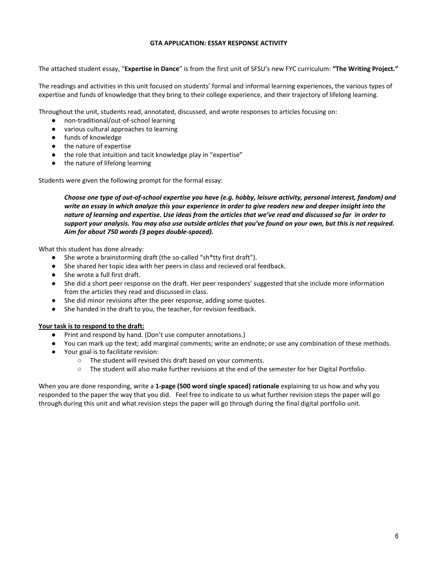## **GTA APPLICATION: ESSAY RESPONSE ACTIVITY**

The attached student essay, "**Expertise in Dance**" is from the first unit of SFSU's new FYC curriculum: **"The Writing Project."**

The readings and activities in this unit focused on students' formal and informal learning experiences, the various types of expertise and funds of knowledge that they bring to their college experience, and their trajectory of lifelong learning.

Throughout the unit, students read, annotated, discussed, and wrote responses to articles focusing on:

- non-traditional/out-of-school learning
- various cultural approaches to learning
- funds of knowledge
- the nature of expertise
- the role that intuition and tacit knowledge play in "expertise"
- the nature of lifelong learning

Students were given the following prompt for the formal essay:

Choose one type of out-of-school expertise you have (e.g. hobby, leisure activity, personal interest, fandom) and write an essay in which analyze this your experience in order to give readers new and deeper insight into the nature of learning and expertise. Use ideas from the articles that we've read and discussed so far in order to support your analysis. You may also use outside articles that you've found on your own, but this is not required. *Aim for about 750 words (3 pages double-spaced).*

What this student has done already:

- She wrote a brainstorming draft (the so-called "sh\*tty first draft").
- She shared her topic idea with her peers in class and recieved oral feedback.
- She wrote a full first draft.
- She did a short peer response on the draft. Her peer responders' suggested that she include more information from the articles they read and discussed in class.
- She did minor revisions after the peer response, adding some quotes.
- She handed in the draft to you, the teacher, for revision feedback.

## **Your task is to respond to the draft:**

- Print and respond by hand. (Don't use computer annotations.)
- You can mark up the text; add marginal comments; write an endnote; or use any combination of these methods.
- Your goal is to facilitate revision:
	- The student will revised this draft based on your comments.
	- The student will also make further revisions at the end of the semester for her Digital Portfolio.

When you are done responding, write a **1-page (500 word single spaced) rationale** explaining to us how and why you responded to the paper the way that you did. Feel free to indicate to us what further revision steps the paper will go through during this unit and what revision steps the paper will go through during the final digital portfolio unit.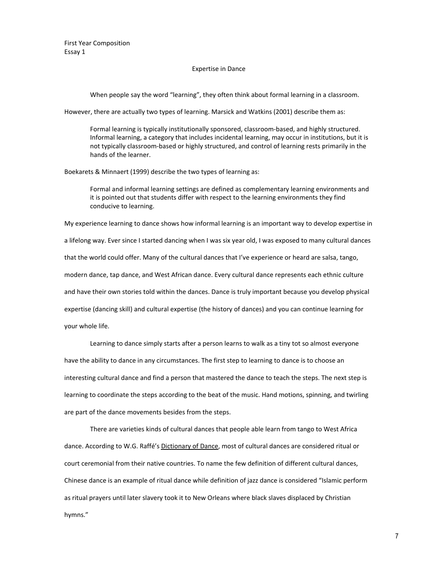First Year Composition Essay 1

#### Expertise in Dance

When people say the word "learning", they often think about formal learning in a classroom.

However, there are actually two types of learning. Marsick and Watkins (2001) describe them as:

Formal learning is typically institutionally sponsored, classroom-based, and highly structured. Informal learning, a category that includes incidental learning, may occur in institutions, but it is not typically classroom-based or highly structured, and control of learning rests primarily in the hands of the learner.

Boekarets & Minnaert (1999) describe the two types of learning as:

Formal and informal learning settings are defined as complementary learning environments and it is pointed out that students differ with respect to the learning environments they find conducive to learning.

My experience learning to dance shows how informal learning is an important way to develop expertise in a lifelong way. Ever since I started dancing when I was six year old, I was exposed to many cultural dances that the world could offer. Many of the cultural dances that I've experience or heard are salsa, tango, modern dance, tap dance, and West African dance. Every cultural dance represents each ethnic culture and have their own stories told within the dances. Dance is truly important because you develop physical expertise (dancing skill) and cultural expertise (the history of dances) and you can continue learning for your whole life.

Learning to dance simply starts after a person learns to walk as a tiny tot so almost everyone have the ability to dance in any circumstances. The first step to learning to dance is to choose an interesting cultural dance and find a person that mastered the dance to teach the steps. The next step is learning to coordinate the steps according to the beat of the music. Hand motions, spinning, and twirling are part of the dance movements besides from the steps.

There are varieties kinds of cultural dances that people able learn from tango to West Africa dance. According to W.G. Raffé's Dictionary of Dance, most of cultural dances are considered ritual or court ceremonial from their native countries. To name the few definition of different cultural dances, Chinese dance is an example of ritual dance while definition of jazz dance is considered "Islamic perform as ritual prayers until later slavery took it to New Orleans where black slaves displaced by Christian hymns."